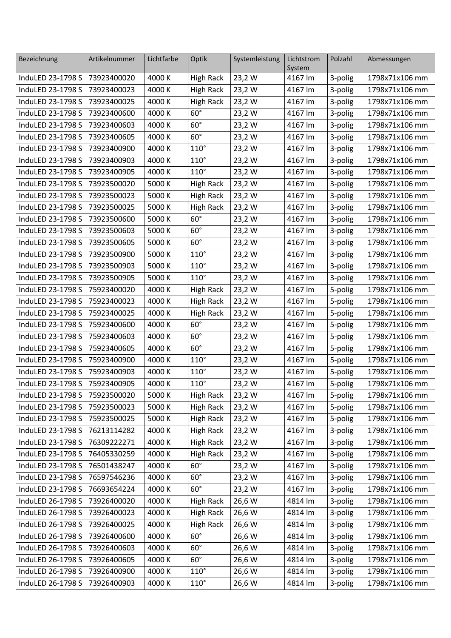| Bezeichnung                   | Artikelnummer | Lichtfarbe | Optik            | Systemleistung | Lichtstrom        | Polzahl | Abmessungen    |
|-------------------------------|---------------|------------|------------------|----------------|-------------------|---------|----------------|
| InduLED 23-1798 S             | 73923400020   | 4000 K     | <b>High Rack</b> | 23,2 W         | System<br>4167 lm | 3-polig | 1798x71x106 mm |
| InduLED 23-1798 S             | 73923400023   | 4000 K     | <b>High Rack</b> | 23,2 W         | 4167 lm           | 3-polig | 1798x71x106 mm |
| InduLED 23-1798 S             | 73923400025   | 4000 K     | <b>High Rack</b> | 23,2 W         | 4167 lm           | 3-polig | 1798x71x106 mm |
| InduLED 23-1798 S             | 73923400600   | 4000 K     | $60^\circ$       | 23,2 W         | 4167 lm           | 3-polig | 1798x71x106 mm |
| InduLED 23-1798 S             | 73923400603   | 4000 K     | $60^\circ$       | 23,2 W         | 4167 lm           | 3-polig | 1798x71x106 mm |
| InduLED 23-1798 S             | 73923400605   | 4000 K     | $60^\circ$       | 23,2 W         | 4167 lm           | 3-polig | 1798x71x106 mm |
| InduLED 23-1798 S             | 73923400900   | 4000 K     | $110^\circ$      | 23,2 W         | 4167 lm           | 3-polig | 1798x71x106 mm |
| InduLED 23-1798 S             | 73923400903   | 4000 K     | $110^\circ$      | 23,2 W         | 4167 lm           | 3-polig | 1798x71x106 mm |
| InduLED 23-1798 S             | 73923400905   | 4000 K     | $110^\circ$      | 23,2 W         | 4167 lm           | 3-polig | 1798x71x106 mm |
| InduLED 23-1798 S             | 73923500020   | 5000 K     | <b>High Rack</b> | 23,2 W         | 4167 lm           | 3-polig | 1798x71x106 mm |
| InduLED 23-1798 S             | 73923500023   | 5000 K     | <b>High Rack</b> | 23,2 W         | 4167 lm           | 3-polig | 1798x71x106 mm |
| InduLED 23-1798 S             | 73923500025   | 5000 K     | <b>High Rack</b> | 23,2 W         | 4167 lm           | 3-polig | 1798x71x106 mm |
| InduLED 23-1798 S             | 73923500600   | 5000 K     | $60^\circ$       | 23,2 W         | 4167 lm           | 3-polig | 1798x71x106 mm |
| InduLED 23-1798 S             | 73923500603   | 5000 K     | $60^\circ$       | 23,2 W         | 4167 lm           | 3-polig | 1798x71x106 mm |
| InduLED 23-1798 S             | 73923500605   | 5000 K     | $60^\circ$       | 23,2 W         | 4167 lm           | 3-polig | 1798x71x106 mm |
| InduLED 23-1798 S             | 73923500900   | 5000 K     | $110^\circ$      | 23,2 W         | 4167 lm           | 3-polig | 1798x71x106 mm |
| InduLED 23-1798 S             | 73923500903   | 5000 K     | $110^\circ$      | 23,2 W         | 4167 lm           | 3-polig | 1798x71x106 mm |
| InduLED 23-1798 S             | 73923500905   | 5000 K     | $110^\circ$      | 23,2 W         | 4167 lm           | 3-polig | 1798x71x106 mm |
| InduLED 23-1798 S             | 75923400020   | 4000 K     | <b>High Rack</b> | 23,2 W         | 4167 lm           | 5-polig | 1798x71x106 mm |
| InduLED 23-1798 S             | 75923400023   | 4000 K     | <b>High Rack</b> | 23,2 W         | 4167 lm           | 5-polig | 1798x71x106 mm |
| InduLED 23-1798 S             | 75923400025   | 4000 K     | <b>High Rack</b> | 23,2 W         | 4167 lm           | 5-polig | 1798x71x106 mm |
| InduLED 23-1798 S             | 75923400600   | 4000 K     | $60^\circ$       | 23,2 W         | 4167 lm           | 5-polig | 1798x71x106 mm |
| InduLED 23-1798 S             | 75923400603   | 4000 K     | $60^\circ$       | 23,2 W         | 4167 lm           | 5-polig | 1798x71x106 mm |
| InduLED 23-1798 S             | 75923400605   | 4000 K     | $60^\circ$       | 23,2W          | 4167 lm           | 5-polig | 1798x71x106 mm |
| InduLED 23-1798 S             | 75923400900   | 4000 K     | $110^\circ$      | 23,2 W         | 4167 lm           | 5-polig | 1798x71x106 mm |
| InduLED 23-1798 S             | 75923400903   | 4000 K     | $110^\circ$      | 23,2 W         | 4167 lm           | 5-polig | 1798x71x106 mm |
| InduLED 23-1798 S             | 75923400905   | 4000 K     | $110^\circ$      | 23,2 W         | 4167 lm           | 5-polig | 1798x71x106 mm |
| InduLED 23-1798 S 75923500020 |               | 5000 K     | High Rack        | 23,2 W         | 4167 lm           | 5-polig | 1798x71x106 mm |
| InduLED 23-1798 S             | 75923500023   | 5000 K     | <b>High Rack</b> | 23,2 W         | 4167 lm           | 5-polig | 1798x71x106 mm |
| InduLED 23-1798 S             | 75923500025   | 5000 K     | <b>High Rack</b> | 23,2 W         | 4167 lm           | 5-polig | 1798x71x106 mm |
| InduLED 23-1798 S             | 76213114282   | 4000 K     | <b>High Rack</b> | 23,2 W         | 4167 lm           | 3-polig | 1798x71x106 mm |
| InduLED 23-1798 S             | 76309222271   | 4000 K     | <b>High Rack</b> | 23,2 W         | 4167 lm           | 3-polig | 1798x71x106 mm |
| InduLED 23-1798 S             | 76405330259   | 4000 K     | <b>High Rack</b> | 23,2 W         | 4167 lm           | 3-polig | 1798x71x106 mm |
| InduLED 23-1798 S             | 76501438247   | 4000 K     | $60^\circ$       | 23,2 W         | 4167 lm           | 3-polig | 1798x71x106 mm |
| InduLED 23-1798 S             | 76597546236   | 4000 K     | $60^\circ$       | 23,2 W         | 4167 lm           | 3-polig | 1798x71x106 mm |
| InduLED 23-1798 S             | 76693654224   | 4000 K     | $60^\circ$       | 23,2 W         | 4167 lm           | 3-polig | 1798x71x106 mm |
| InduLED 26-1798 S             | 73926400020   | 4000 K     | <b>High Rack</b> | 26,6 W         | 4814 lm           | 3-polig | 1798x71x106 mm |
| InduLED 26-1798 S             | 73926400023   | 4000 K     | <b>High Rack</b> | 26,6 W         | 4814 lm           | 3-polig | 1798x71x106 mm |
| InduLED 26-1798 S             | 73926400025   | 4000 K     | <b>High Rack</b> | 26,6 W         | 4814 lm           | 3-polig | 1798x71x106 mm |
| InduLED 26-1798 S             | 73926400600   | 4000 K     | $60^\circ$       | 26,6 W         | 4814 lm           | 3-polig | 1798x71x106 mm |
| InduLED 26-1798 S             | 73926400603   | 4000 K     | $60^\circ$       | 26,6 W         | 4814 lm           | 3-polig | 1798x71x106 mm |
| InduLED 26-1798 S             | 73926400605   | 4000 K     | $60^\circ$       | 26,6 W         | 4814 lm           | 3-polig | 1798x71x106 mm |
| InduLED 26-1798 S             | 73926400900   | 4000 K     | $110^\circ$      | 26,6 W         | 4814 lm           | 3-polig | 1798x71x106 mm |
| InduLED 26-1798 S             | 73926400903   | 4000 K     | $110^\circ$      | 26,6 W         | 4814 lm           | 3-polig | 1798x71x106 mm |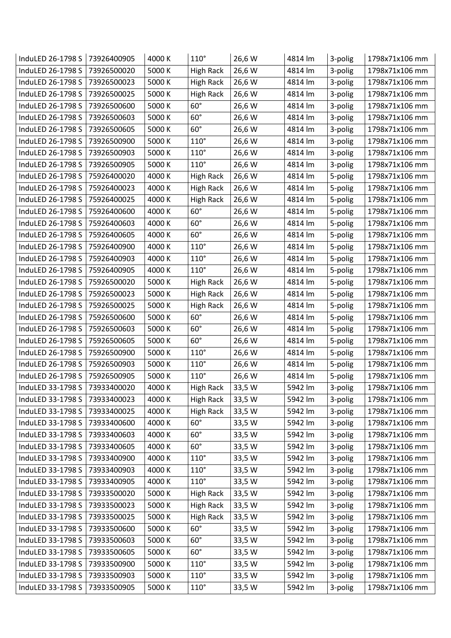| InduLED 26-1798 S | 73926400905 | 4000 K | $110^\circ$      | 26,6 W | 4814 lm | 3-polig | 1798x71x106 mm |
|-------------------|-------------|--------|------------------|--------|---------|---------|----------------|
| InduLED 26-1798 S | 73926500020 | 5000 K | <b>High Rack</b> | 26,6 W | 4814 lm | 3-polig | 1798x71x106 mm |
| InduLED 26-1798 S | 73926500023 | 5000 K | High Rack        | 26,6 W | 4814 lm | 3-polig | 1798x71x106 mm |
| InduLED 26-1798 S | 73926500025 | 5000 K | <b>High Rack</b> | 26,6 W | 4814 lm | 3-polig | 1798x71x106 mm |
| InduLED 26-1798 S | 73926500600 | 5000 K | $60^\circ$       | 26,6 W | 4814 lm | 3-polig | 1798x71x106 mm |
| InduLED 26-1798 S | 73926500603 | 5000 K | $60^\circ$       | 26,6 W | 4814 lm | 3-polig | 1798x71x106 mm |
| InduLED 26-1798 S | 73926500605 | 5000 K | $60^\circ$       | 26,6 W | 4814 lm | 3-polig | 1798x71x106 mm |
| InduLED 26-1798 S | 73926500900 | 5000 K | $110^\circ$      | 26,6 W | 4814 lm | 3-polig | 1798x71x106 mm |
| InduLED 26-1798 S | 73926500903 | 5000 K | $110^\circ$      | 26,6 W | 4814 lm | 3-polig | 1798x71x106 mm |
| InduLED 26-1798 S | 73926500905 | 5000 K | $110^\circ$      | 26,6 W | 4814 lm | 3-polig | 1798x71x106 mm |
| InduLED 26-1798 S | 75926400020 | 4000 K | <b>High Rack</b> | 26,6 W | 4814 lm | 5-polig | 1798x71x106 mm |
| InduLED 26-1798 S | 75926400023 | 4000 K | <b>High Rack</b> | 26,6 W | 4814 lm | 5-polig | 1798x71x106 mm |
| InduLED 26-1798 S | 75926400025 | 4000 K | High Rack        | 26,6 W | 4814 lm | 5-polig | 1798x71x106 mm |
| InduLED 26-1798 S | 75926400600 | 4000 K | $60^\circ$       | 26,6 W | 4814 lm | 5-polig | 1798x71x106 mm |
| InduLED 26-1798 S | 75926400603 | 4000 K | $60^\circ$       | 26,6 W | 4814 lm | 5-polig | 1798x71x106 mm |
| InduLED 26-1798 S | 75926400605 | 4000 K | $60^\circ$       | 26,6 W | 4814 lm | 5-polig | 1798x71x106 mm |
| InduLED 26-1798 S | 75926400900 | 4000 K | $110^\circ$      | 26,6 W | 4814 lm | 5-polig | 1798x71x106 mm |
| InduLED 26-1798 S | 75926400903 | 4000 K | $110^\circ$      | 26,6 W | 4814 lm | 5-polig | 1798x71x106 mm |
| InduLED 26-1798 S | 75926400905 | 4000 K | $110^\circ$      | 26,6 W | 4814 lm | 5-polig | 1798x71x106 mm |
| InduLED 26-1798 S | 75926500020 | 5000 K | High Rack        | 26,6 W | 4814 lm | 5-polig | 1798x71x106 mm |
| InduLED 26-1798 S | 75926500023 | 5000 K | <b>High Rack</b> | 26,6 W | 4814 lm | 5-polig | 1798x71x106 mm |
| InduLED 26-1798 S | 75926500025 | 5000 K | High Rack        | 26,6 W | 4814 lm | 5-polig | 1798x71x106 mm |
| InduLED 26-1798 S | 75926500600 | 5000 K | $60^\circ$       | 26,6 W | 4814 lm | 5-polig | 1798x71x106 mm |
| InduLED 26-1798 S | 75926500603 | 5000 K | $60^\circ$       | 26,6 W | 4814 lm | 5-polig | 1798x71x106 mm |
| InduLED 26-1798 S | 75926500605 | 5000 K | $60^\circ$       | 26,6 W | 4814 lm | 5-polig | 1798x71x106 mm |
| InduLED 26-1798 S | 75926500900 | 5000 K | $110^\circ$      | 26,6 W | 4814 lm | 5-polig | 1798x71x106 mm |
| InduLED 26-1798 S | 75926500903 | 5000 K | $110^\circ$      | 26,6 W | 4814 lm | 5-polig | 1798x71x106 mm |
| InduLED 26-1798 S | 75926500905 | 5000 K | $110^\circ$      | 26,6 W | 4814 lm | 5-polig | 1798x71x106 mm |
| InduLED 33-1798 S | 73933400020 | 4000 K | High Rack        | 33,5 W | 5942 lm | 3-polig | 1798x71x106 mm |
| InduLED 33-1798 S | 73933400023 | 4000 K | <b>High Rack</b> | 33,5 W | 5942 lm | 3-polig | 1798x71x106 mm |
| InduLED 33-1798 S | 73933400025 | 4000 K | <b>High Rack</b> | 33,5 W | 5942 lm | 3-polig | 1798x71x106 mm |
| InduLED 33-1798 S | 73933400600 | 4000 K | $60^\circ$       | 33,5 W | 5942 lm | 3-polig | 1798x71x106 mm |
| InduLED 33-1798 S | 73933400603 | 4000 K | $60^\circ$       | 33,5 W | 5942 lm | 3-polig | 1798x71x106 mm |
| InduLED 33-1798 S | 73933400605 | 4000 K | $60^\circ$       | 33,5 W | 5942 lm | 3-polig | 1798x71x106 mm |
| InduLED 33-1798 S | 73933400900 | 4000 K | $110^\circ$      | 33,5 W | 5942 lm | 3-polig | 1798x71x106 mm |
| InduLED 33-1798 S | 73933400903 | 4000 K | $110^\circ$      | 33,5 W | 5942 lm | 3-polig | 1798x71x106 mm |
| InduLED 33-1798 S | 73933400905 | 4000 K | $110^\circ$      | 33,5 W | 5942 lm | 3-polig | 1798x71x106 mm |
| InduLED 33-1798 S | 73933500020 | 5000 K | <b>High Rack</b> | 33,5 W | 5942 lm | 3-polig | 1798x71x106 mm |
| InduLED 33-1798 S | 73933500023 | 5000 K | <b>High Rack</b> | 33,5 W | 5942 lm | 3-polig | 1798x71x106 mm |
| InduLED 33-1798 S | 73933500025 | 5000 K | High Rack        | 33,5 W | 5942 lm | 3-polig | 1798x71x106 mm |
| InduLED 33-1798 S | 73933500600 | 5000 K | $60^\circ$       | 33,5 W | 5942 lm | 3-polig | 1798x71x106 mm |
| InduLED 33-1798 S | 73933500603 | 5000 K | $60^\circ$       | 33,5 W | 5942 lm | 3-polig | 1798x71x106 mm |
| InduLED 33-1798 S | 73933500605 | 5000 K | $60^\circ$       | 33,5 W | 5942 lm | 3-polig | 1798x71x106 mm |
| InduLED 33-1798 S | 73933500900 | 5000 K | $110^\circ$      | 33,5 W | 5942 lm | 3-polig | 1798x71x106 mm |
| InduLED 33-1798 S | 73933500903 | 5000 K | $110^\circ$      | 33,5 W | 5942 lm | 3-polig | 1798x71x106 mm |
| InduLED 33-1798 S | 73933500905 | 5000 K | $110^\circ$      | 33,5 W | 5942 lm | 3-polig | 1798x71x106 mm |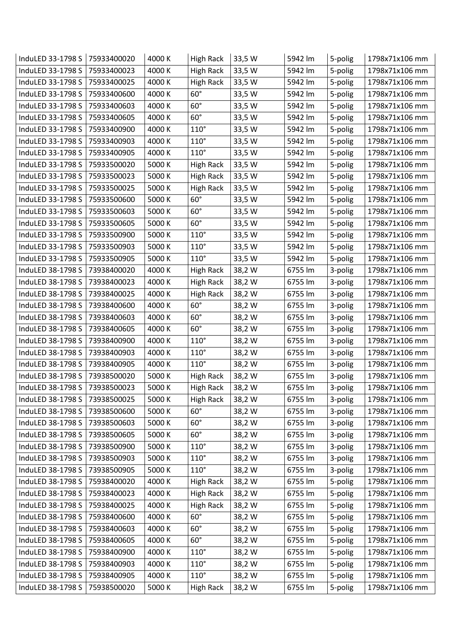| InduLED 33-1798 S | 75933400020 | 4000 K | <b>High Rack</b> | 33,5 W | 5942 lm | 5-polig | 1798x71x106 mm |
|-------------------|-------------|--------|------------------|--------|---------|---------|----------------|
| InduLED 33-1798 S | 75933400023 | 4000 K | <b>High Rack</b> | 33,5 W | 5942 lm | 5-polig | 1798x71x106 mm |
| InduLED 33-1798 S | 75933400025 | 4000 K | <b>High Rack</b> | 33,5 W | 5942 lm | 5-polig | 1798x71x106 mm |
| InduLED 33-1798 S | 75933400600 | 4000 K | $60^\circ$       | 33,5 W | 5942 lm | 5-polig | 1798x71x106 mm |
| InduLED 33-1798 S | 75933400603 | 4000 K | $60^\circ$       | 33,5 W | 5942 lm | 5-polig | 1798x71x106 mm |
| InduLED 33-1798 S | 75933400605 | 4000 K | $60^\circ$       | 33,5 W | 5942 lm | 5-polig | 1798x71x106 mm |
| InduLED 33-1798 S | 75933400900 | 4000 K | $110^\circ$      | 33,5 W | 5942 lm | 5-polig | 1798x71x106 mm |
| InduLED 33-1798 S | 75933400903 | 4000 K | $110^\circ$      | 33,5 W | 5942 lm | 5-polig | 1798x71x106 mm |
| InduLED 33-1798 S | 75933400905 | 4000 K | $110^\circ$      | 33,5 W | 5942 lm | 5-polig | 1798x71x106 mm |
| InduLED 33-1798 S | 75933500020 | 5000 K | <b>High Rack</b> | 33,5 W | 5942 lm | 5-polig | 1798x71x106 mm |
| InduLED 33-1798 S | 75933500023 | 5000 K | High Rack        | 33,5 W | 5942 lm | 5-polig | 1798x71x106 mm |
| InduLED 33-1798 S | 75933500025 | 5000 K | <b>High Rack</b> | 33,5 W | 5942 lm | 5-polig | 1798x71x106 mm |
| InduLED 33-1798 S | 75933500600 | 5000 K | $60^\circ$       | 33,5 W | 5942 lm | 5-polig | 1798x71x106 mm |
| InduLED 33-1798 S | 75933500603 | 5000 K | $60^\circ$       | 33,5 W | 5942 lm | 5-polig | 1798x71x106 mm |
| InduLED 33-1798 S | 75933500605 | 5000 K | $60^\circ$       | 33,5 W | 5942 lm | 5-polig | 1798x71x106 mm |
| InduLED 33-1798 S | 75933500900 | 5000 K | $110^\circ$      | 33,5 W | 5942 lm | 5-polig | 1798x71x106 mm |
| InduLED 33-1798 S | 75933500903 | 5000 K | $110^\circ$      | 33,5 W | 5942 lm | 5-polig | 1798x71x106 mm |
| InduLED 33-1798 S | 75933500905 | 5000 K | $110^\circ$      | 33,5 W | 5942 lm | 5-polig | 1798x71x106 mm |
| InduLED 38-1798 S | 73938400020 | 4000 K | <b>High Rack</b> | 38,2W  | 6755 lm | 3-polig | 1798x71x106 mm |
| InduLED 38-1798 S | 73938400023 | 4000 K | <b>High Rack</b> | 38,2 W | 6755 lm | 3-polig | 1798x71x106 mm |
| InduLED 38-1798 S | 73938400025 | 4000 K | <b>High Rack</b> | 38,2 W | 6755 lm | 3-polig | 1798x71x106 mm |
| InduLED 38-1798 S | 73938400600 | 4000 K | $60^\circ$       | 38,2 W | 6755 lm | 3-polig | 1798x71x106 mm |
| InduLED 38-1798 S | 73938400603 | 4000 K | $60^\circ$       | 38,2 W | 6755 lm | 3-polig | 1798x71x106 mm |
| InduLED 38-1798 S | 73938400605 | 4000 K | $60^\circ$       | 38,2W  | 6755 lm | 3-polig | 1798x71x106 mm |
| InduLED 38-1798 S | 73938400900 | 4000 K | $110^\circ$      | 38,2 W | 6755 lm | 3-polig | 1798x71x106 mm |
| InduLED 38-1798 S | 73938400903 | 4000 K | $110^\circ$      | 38,2W  | 6755 lm | 3-polig | 1798x71x106 mm |
| InduLED 38-1798 S | 73938400905 | 4000 K | $110^\circ$      | 38,2 W | 6755 lm | 3-polig | 1798x71x106 mm |
| InduLED 38-1798 S | 73938500020 | 5000 K | High Rack        | 38,2W  | 6755 lm | 3-polig | 1798x71x106 mm |
| InduLED 38-1798 S | 73938500023 | 5000 K | <b>High Rack</b> | 38,2 W | 6755 lm | 3-polig | 1798x71x106 mm |
| InduLED 38-1798 S | 73938500025 | 5000 K | <b>High Rack</b> | 38,2 W | 6755 lm | 3-polig | 1798x71x106 mm |
| InduLED 38-1798 S | 73938500600 | 5000 K | $60^\circ$       | 38,2 W | 6755 lm | 3-polig | 1798x71x106 mm |
| InduLED 38-1798 S | 73938500603 | 5000 K | $60^\circ$       | 38,2 W | 6755 lm | 3-polig | 1798x71x106 mm |
| InduLED 38-1798 S | 73938500605 | 5000 K | $60^\circ$       | 38,2 W | 6755 lm | 3-polig | 1798x71x106 mm |
| InduLED 38-1798 S | 73938500900 | 5000 K | $110^\circ$      | 38,2 W | 6755 lm | 3-polig | 1798x71x106 mm |
| InduLED 38-1798 S | 73938500903 | 5000 K | $110^\circ$      | 38,2 W | 6755 lm | 3-polig | 1798x71x106 mm |
| InduLED 38-1798 S | 73938500905 | 5000 K | $110^\circ$      | 38,2 W | 6755 lm | 3-polig | 1798x71x106 mm |
| InduLED 38-1798 S | 75938400020 | 4000 K | <b>High Rack</b> | 38,2 W | 6755 lm | 5-polig | 1798x71x106 mm |
| InduLED 38-1798 S | 75938400023 | 4000 K | <b>High Rack</b> | 38,2W  | 6755 lm | 5-polig | 1798x71x106 mm |
| InduLED 38-1798 S | 75938400025 | 4000 K | <b>High Rack</b> | 38,2 W | 6755 lm | 5-polig | 1798x71x106 mm |
| InduLED 38-1798 S | 75938400600 | 4000 K | $60^\circ$       | 38,2 W | 6755 lm | 5-polig | 1798x71x106 mm |
| InduLED 38-1798 S | 75938400603 | 4000 K | $60^\circ$       | 38,2 W | 6755 lm | 5-polig | 1798x71x106 mm |
| InduLED 38-1798 S | 75938400605 | 4000 K | $60^\circ$       | 38,2 W | 6755 lm | 5-polig | 1798x71x106 mm |
| InduLED 38-1798 S | 75938400900 | 4000 K | $110^\circ$      | 38,2 W | 6755 lm | 5-polig | 1798x71x106 mm |
| InduLED 38-1798 S | 75938400903 | 4000 K | $110^\circ$      | 38,2 W | 6755 lm | 5-polig | 1798x71x106 mm |
| InduLED 38-1798 S | 75938400905 | 4000 K | $110^\circ$      | 38,2 W | 6755 lm | 5-polig | 1798x71x106 mm |
| InduLED 38-1798 S | 75938500020 | 5000 K | <b>High Rack</b> | 38,2 W | 6755 lm | 5-polig | 1798x71x106 mm |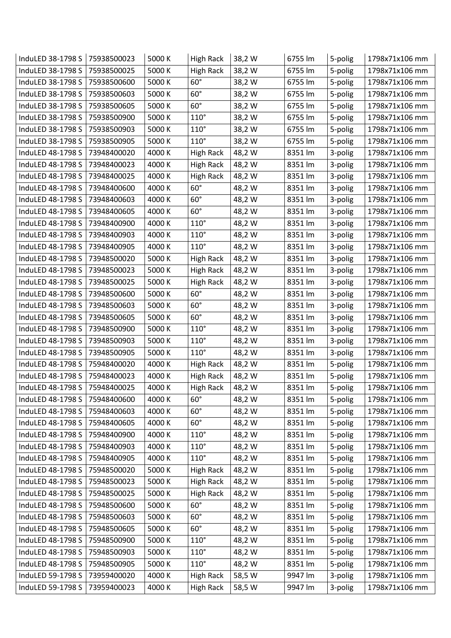| InduLED 38-1798 S | 75938500023 | 5000 K | High Rack        | 38,2 W | 6755 lm | 5-polig | 1798x71x106 mm |
|-------------------|-------------|--------|------------------|--------|---------|---------|----------------|
| InduLED 38-1798 S | 75938500025 | 5000 K | <b>High Rack</b> | 38,2 W | 6755 lm | 5-polig | 1798x71x106 mm |
| InduLED 38-1798 S | 75938500600 | 5000 K | $60^\circ$       | 38,2 W | 6755 lm | 5-polig | 1798x71x106 mm |
| InduLED 38-1798 S | 75938500603 | 5000 K | $60^\circ$       | 38,2W  | 6755 lm | 5-polig | 1798x71x106 mm |
| InduLED 38-1798 S | 75938500605 | 5000 K | $60^\circ$       | 38,2 W | 6755 lm | 5-polig | 1798x71x106 mm |
| InduLED 38-1798 S | 75938500900 | 5000 K | $110^\circ$      | 38,2 W | 6755 lm | 5-polig | 1798x71x106 mm |
| InduLED 38-1798 S | 75938500903 | 5000 K | $110^\circ$      | 38,2W  | 6755 lm | 5-polig | 1798x71x106 mm |
| InduLED 38-1798 S | 75938500905 | 5000 K | $110^\circ$      | 38,2 W | 6755 lm | 5-polig | 1798x71x106 mm |
| InduLED 48-1798 S | 73948400020 | 4000 K | <b>High Rack</b> | 48,2 W | 8351 lm | 3-polig | 1798x71x106 mm |
| InduLED 48-1798 S | 73948400023 | 4000 K | High Rack        | 48,2 W | 8351 lm | 3-polig | 1798x71x106 mm |
| InduLED 48-1798 S | 73948400025 | 4000 K | <b>High Rack</b> | 48,2 W | 8351 lm | 3-polig | 1798x71x106 mm |
| InduLED 48-1798 S | 73948400600 | 4000 K | $60^\circ$       | 48,2 W | 8351 lm | 3-polig | 1798x71x106 mm |
| InduLED 48-1798 S | 73948400603 | 4000 K | $60^\circ$       | 48,2 W | 8351 lm | 3-polig | 1798x71x106 mm |
| InduLED 48-1798 S | 73948400605 | 4000 K | $60^\circ$       | 48,2 W | 8351 lm | 3-polig | 1798x71x106 mm |
| InduLED 48-1798 S | 73948400900 | 4000 K | $110^\circ$      | 48,2 W | 8351 lm | 3-polig | 1798x71x106 mm |
| InduLED 48-1798 S | 73948400903 | 4000 K | $110^\circ$      | 48,2 W | 8351 lm | 3-polig | 1798x71x106 mm |
| InduLED 48-1798 S | 73948400905 | 4000 K | $110^\circ$      | 48,2 W | 8351 lm | 3-polig | 1798x71x106 mm |
| InduLED 48-1798 S | 73948500020 | 5000 K | <b>High Rack</b> | 48,2 W | 8351 lm | 3-polig | 1798x71x106 mm |
| InduLED 48-1798 S | 73948500023 | 5000 K | <b>High Rack</b> | 48,2 W | 8351 lm | 3-polig | 1798x71x106 mm |
| InduLED 48-1798 S | 73948500025 | 5000 K | <b>High Rack</b> | 48,2 W | 8351 lm | 3-polig | 1798x71x106 mm |
| InduLED 48-1798 S | 73948500600 | 5000 K | $60^\circ$       | 48,2 W | 8351 lm | 3-polig | 1798x71x106 mm |
| InduLED 48-1798 S | 73948500603 | 5000 K | $60^\circ$       | 48,2 W | 8351 lm | 3-polig | 1798x71x106 mm |
| InduLED 48-1798 S | 73948500605 | 5000 K | $60^\circ$       | 48,2 W | 8351 lm | 3-polig | 1798x71x106 mm |
| InduLED 48-1798 S | 73948500900 | 5000 K | $110^\circ$      | 48,2 W | 8351 lm | 3-polig | 1798x71x106 mm |
| InduLED 48-1798 S | 73948500903 | 5000 K | $110^\circ$      | 48,2 W | 8351 lm | 3-polig | 1798x71x106 mm |
| InduLED 48-1798 S | 73948500905 | 5000 K | $110^\circ$      | 48,2 W | 8351 lm | 3-polig | 1798x71x106 mm |
| InduLED 48-1798 S | 75948400020 | 4000 K | High Rack        | 48,2 W | 8351 lm | 5-polig | 1798x71x106 mm |
| InduLED 48-1798 S | 75948400023 | 4000 K | <b>High Rack</b> | 48,2 W | 8351 lm | 5-polig | 1798x71x106 mm |
| InduLED 48-1798 S | 75948400025 | 4000 K | <b>High Rack</b> | 48,2 W | 8351 lm | 5-polig | 1798x71x106 mm |
| InduLED 48-1798 S | 75948400600 | 4000 K | $60^\circ$       | 48,2 W | 8351 lm | 5-polig | 1798x71x106 mm |
| InduLED 48-1798 S | 75948400603 | 4000 K | $60^\circ$       | 48,2 W | 8351 lm | 5-polig | 1798x71x106 mm |
| InduLED 48-1798 S | 75948400605 | 4000 K | $60^\circ$       | 48,2 W | 8351 lm | 5-polig | 1798x71x106 mm |
| InduLED 48-1798 S | 75948400900 | 4000 K | $110^\circ$      | 48,2 W | 8351 lm | 5-polig | 1798x71x106 mm |
| InduLED 48-1798 S | 75948400903 | 4000 K | $110^\circ$      | 48,2 W | 8351 lm | 5-polig | 1798x71x106 mm |
| InduLED 48-1798 S | 75948400905 | 4000 K | $110^\circ$      | 48,2 W | 8351 lm | 5-polig | 1798x71x106 mm |
| InduLED 48-1798 S | 75948500020 | 5000 K | <b>High Rack</b> | 48,2 W | 8351 lm | 5-polig | 1798x71x106 mm |
| InduLED 48-1798 S | 75948500023 | 5000 K | <b>High Rack</b> | 48,2 W | 8351 lm | 5-polig | 1798x71x106 mm |
| InduLED 48-1798 S | 75948500025 | 5000 K | <b>High Rack</b> | 48,2 W | 8351 lm | 5-polig | 1798x71x106 mm |
| InduLED 48-1798 S | 75948500600 | 5000 K | $60^\circ$       | 48,2 W | 8351 lm | 5-polig | 1798x71x106 mm |
| InduLED 48-1798 S | 75948500603 | 5000 K | $60^\circ$       | 48,2 W | 8351 lm | 5-polig | 1798x71x106 mm |
| InduLED 48-1798 S | 75948500605 | 5000 K | $60^\circ$       | 48,2 W | 8351 lm | 5-polig | 1798x71x106 mm |
| InduLED 48-1798 S | 75948500900 | 5000 K | $110^\circ$      | 48,2 W | 8351 lm | 5-polig | 1798x71x106 mm |
| InduLED 48-1798 S | 75948500903 | 5000 K | $110^\circ$      | 48,2 W | 8351 lm | 5-polig | 1798x71x106 mm |
| InduLED 48-1798 S | 75948500905 | 5000 K | $110^\circ$      | 48,2 W | 8351 lm | 5-polig | 1798x71x106 mm |
| InduLED 59-1798 S | 73959400020 | 4000 K | <b>High Rack</b> | 58,5 W | 9947 lm | 3-polig | 1798x71x106 mm |
| InduLED 59-1798 S | 73959400023 | 4000 K | <b>High Rack</b> | 58,5 W | 9947 lm | 3-polig | 1798x71x106 mm |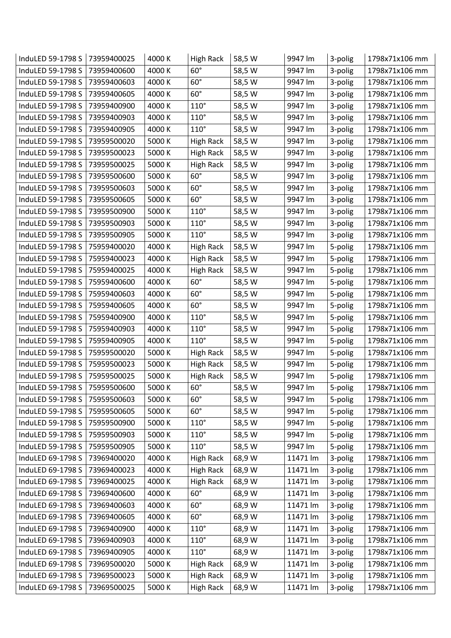| InduLED 59-1798 S | 73959400025 | 4000 K | <b>High Rack</b> | 58,5 W | 9947 lm  | 3-polig | 1798x71x106 mm |
|-------------------|-------------|--------|------------------|--------|----------|---------|----------------|
| InduLED 59-1798 S | 73959400600 | 4000 K | $60^\circ$       | 58,5W  | 9947 lm  | 3-polig | 1798x71x106 mm |
| InduLED 59-1798 S | 73959400603 | 4000 K | $60^\circ$       | 58,5 W | 9947 lm  | 3-polig | 1798x71x106 mm |
| InduLED 59-1798 S | 73959400605 | 4000 K | $60^\circ$       | 58,5 W | 9947 lm  | 3-polig | 1798x71x106 mm |
| InduLED 59-1798 S | 73959400900 | 4000 K | $110^\circ$      | 58,5 W | 9947 lm  | 3-polig | 1798x71x106 mm |
| InduLED 59-1798 S | 73959400903 | 4000 K | $110^\circ$      | 58,5 W | 9947 lm  | 3-polig | 1798x71x106 mm |
| InduLED 59-1798 S | 73959400905 | 4000 K | $110^\circ$      | 58,5 W | 9947 lm  | 3-polig | 1798x71x106 mm |
| InduLED 59-1798 S | 73959500020 | 5000 K | <b>High Rack</b> | 58,5 W | 9947 lm  | 3-polig | 1798x71x106 mm |
| InduLED 59-1798 S | 73959500023 | 5000 K | <b>High Rack</b> | 58,5 W | 9947 lm  | 3-polig | 1798x71x106 mm |
| InduLED 59-1798 S | 73959500025 | 5000 K | High Rack        | 58,5 W | 9947 lm  | 3-polig | 1798x71x106 mm |
| InduLED 59-1798 S | 73959500600 | 5000 K | $60^\circ$       | 58,5 W | 9947 lm  | 3-polig | 1798x71x106 mm |
| InduLED 59-1798 S | 73959500603 | 5000 K | $60^\circ$       | 58,5 W | 9947 lm  | 3-polig | 1798x71x106 mm |
| InduLED 59-1798 S | 73959500605 | 5000 K | $60^\circ$       | 58,5 W | 9947 lm  | 3-polig | 1798x71x106 mm |
| InduLED 59-1798 S | 73959500900 | 5000 K | $110^\circ$      | 58,5 W | 9947 lm  | 3-polig | 1798x71x106 mm |
| InduLED 59-1798 S | 73959500903 | 5000 K | $110^\circ$      | 58,5 W | 9947 lm  | 3-polig | 1798x71x106 mm |
| InduLED 59-1798 S | 73959500905 | 5000 K | $110^\circ$      | 58,5 W | 9947 lm  | 3-polig | 1798x71x106 mm |
| InduLED 59-1798 S | 75959400020 | 4000 K | <b>High Rack</b> | 58,5 W | 9947 lm  | 5-polig | 1798x71x106 mm |
| InduLED 59-1798 S | 75959400023 | 4000 K | <b>High Rack</b> | 58,5 W | 9947 lm  | 5-polig | 1798x71x106 mm |
| InduLED 59-1798 S | 75959400025 | 4000 K | <b>High Rack</b> | 58,5 W | 9947 lm  | 5-polig | 1798x71x106 mm |
| InduLED 59-1798 S | 75959400600 | 4000 K | $60^\circ$       | 58,5 W | 9947 lm  | 5-polig | 1798x71x106 mm |
| InduLED 59-1798 S | 75959400603 | 4000 K | $60^\circ$       | 58,5 W | 9947 lm  | 5-polig | 1798x71x106 mm |
| InduLED 59-1798 S | 75959400605 | 4000 K | $60^\circ$       | 58,5 W | 9947 lm  | 5-polig | 1798x71x106 mm |
| InduLED 59-1798 S | 75959400900 | 4000 K | $110^\circ$      | 58,5 W | 9947 lm  | 5-polig | 1798x71x106 mm |
| InduLED 59-1798 S | 75959400903 | 4000 K | $110^\circ$      | 58,5 W | 9947 lm  | 5-polig | 1798x71x106 mm |
| InduLED 59-1798 S | 75959400905 | 4000 K | $110^\circ$      | 58,5 W | 9947 lm  | 5-polig | 1798x71x106 mm |
| InduLED 59-1798 S | 75959500020 | 5000 K | <b>High Rack</b> | 58,5 W | 9947 lm  | 5-polig | 1798x71x106 mm |
| InduLED 59-1798 S | 75959500023 | 5000 K | <b>High Rack</b> | 58,5 W | 9947 lm  | 5-polig | 1798x71x106 mm |
| InduLED 59-1798 S | 75959500025 | 5000 K | <b>High Rack</b> | 58,5 W | 9947 lm  | 5-polig | 1798x71x106 mm |
| InduLED 59-1798 S | 75959500600 | 5000 K | $60^\circ$       | 58,5 W | 9947 lm  | 5-polig | 1798x71x106 mm |
| InduLED 59-1798 S | 75959500603 | 5000 K | $60^\circ$       | 58,5 W | 9947 lm  | 5-polig | 1798x71x106 mm |
| InduLED 59-1798 S | 75959500605 | 5000 K | $60^\circ$       | 58,5 W | 9947 lm  | 5-polig | 1798x71x106 mm |
| InduLED 59-1798 S | 75959500900 | 5000 K | $110^\circ$      | 58,5 W | 9947 lm  | 5-polig | 1798x71x106 mm |
| InduLED 59-1798 S | 75959500903 | 5000 K | $110^\circ$      | 58,5W  | 9947 lm  | 5-polig | 1798x71x106 mm |
| InduLED 59-1798 S | 75959500905 | 5000 K | $110^\circ$      | 58,5 W | 9947 lm  | 5-polig | 1798x71x106 mm |
| InduLED 69-1798 S | 73969400020 | 4000 K | High Rack        | 68,9 W | 11471 lm | 3-polig | 1798x71x106 mm |
| InduLED 69-1798 S | 73969400023 | 4000 K | <b>High Rack</b> | 68,9W  | 11471 lm | 3-polig | 1798x71x106 mm |
| InduLED 69-1798 S | 73969400025 | 4000 K | <b>High Rack</b> | 68,9 W | 11471 lm | 3-polig | 1798x71x106 mm |
| InduLED 69-1798 S | 73969400600 | 4000 K | $60^\circ$       | 68,9W  | 11471 lm | 3-polig | 1798x71x106 mm |
| InduLED 69-1798 S | 73969400603 | 4000 K | $60^\circ$       | 68,9 W | 11471 lm | 3-polig | 1798x71x106 mm |
| InduLED 69-1798 S | 73969400605 | 4000 K | $60^\circ$       | 68,9 W | 11471 lm | 3-polig | 1798x71x106 mm |
| InduLED 69-1798 S | 73969400900 | 4000 K | $110^\circ$      | 68,9 W | 11471 lm | 3-polig | 1798x71x106 mm |
| InduLED 69-1798 S | 73969400903 | 4000 K | $110^\circ$      | 68,9 W | 11471 lm | 3-polig | 1798x71x106 mm |
| InduLED 69-1798 S | 73969400905 | 4000 K | $110^\circ$      | 68,9 W | 11471 lm | 3-polig | 1798x71x106 mm |
| InduLED 69-1798 S | 73969500020 | 5000 K | <b>High Rack</b> | 68,9 W | 11471 lm | 3-polig | 1798x71x106 mm |
| InduLED 69-1798 S | 73969500023 | 5000 K | High Rack        | 68,9W  | 11471 lm | 3-polig | 1798x71x106 mm |
| InduLED 69-1798 S | 73969500025 | 5000 K | <b>High Rack</b> | 68,9 W | 11471 lm | 3-polig | 1798x71x106 mm |